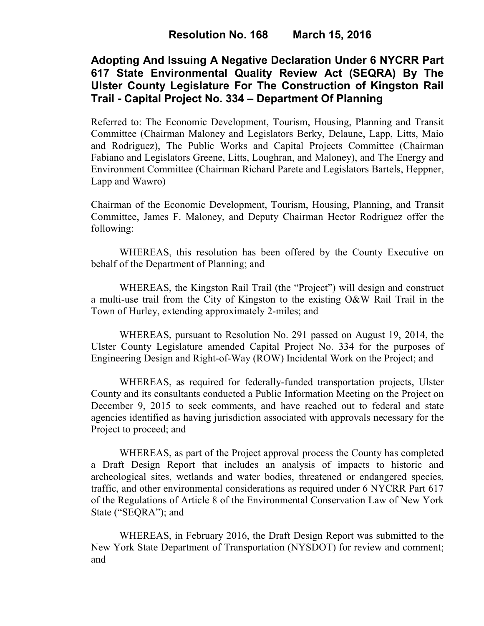# **Adopting And Issuing A Negative Declaration Under 6 NYCRR Part 617 State Environmental Quality Review Act (SEQRA) By The Ulster County Legislature For The Construction of Kingston Rail Trail - Capital Project No. 334 – Department Of Planning**

Referred to: The Economic Development, Tourism, Housing, Planning and Transit Committee (Chairman Maloney and Legislators Berky, Delaune, Lapp, Litts, Maio and Rodriguez), The Public Works and Capital Projects Committee (Chairman Fabiano and Legislators Greene, Litts, Loughran, and Maloney), and The Energy and Environment Committee (Chairman Richard Parete and Legislators Bartels, Heppner, Lapp and Wawro)

Chairman of the Economic Development, Tourism, Housing, Planning, and Transit Committee, James F. Maloney, and Deputy Chairman Hector Rodriguez offer the following:

WHEREAS, this resolution has been offered by the County Executive on behalf of the Department of Planning; and

WHEREAS, the Kingston Rail Trail (the "Project") will design and construct a multi-use trail from the City of Kingston to the existing O&W Rail Trail in the Town of Hurley, extending approximately 2-miles; and

WHEREAS, pursuant to Resolution No. 291 passed on August 19, 2014, the Ulster County Legislature amended Capital Project No. 334 for the purposes of Engineering Design and Right-of-Way (ROW) Incidental Work on the Project; and

WHEREAS, as required for federally-funded transportation projects, Ulster County and its consultants conducted a Public Information Meeting on the Project on December 9, 2015 to seek comments, and have reached out to federal and state agencies identified as having jurisdiction associated with approvals necessary for the Project to proceed; and

WHEREAS, as part of the Project approval process the County has completed a Draft Design Report that includes an analysis of impacts to historic and archeological sites, wetlands and water bodies, threatened or endangered species, traffic, and other environmental considerations as required under 6 NYCRR Part 617 of the Regulations of Article 8 of the Environmental Conservation Law of New York State ("SEQRA"); and

WHEREAS, in February 2016, the Draft Design Report was submitted to the New York State Department of Transportation (NYSDOT) for review and comment; and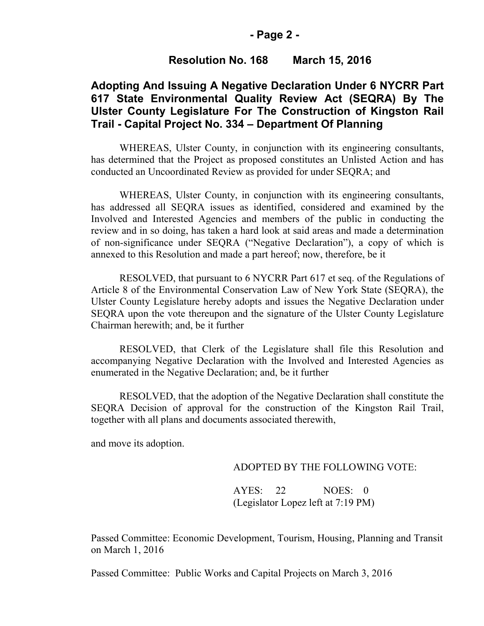#### **- Page 2 -**

### **Resolution No. 168 March 15, 2016**

## **Adopting And Issuing A Negative Declaration Under 6 NYCRR Part 617 State Environmental Quality Review Act (SEQRA) By The Ulster County Legislature For The Construction of Kingston Rail Trail - Capital Project No. 334 – Department Of Planning**

WHEREAS, Ulster County, in conjunction with its engineering consultants, has determined that the Project as proposed constitutes an Unlisted Action and has conducted an Uncoordinated Review as provided for under SEQRA; and

WHEREAS, Ulster County, in conjunction with its engineering consultants, has addressed all SEQRA issues as identified, considered and examined by the Involved and Interested Agencies and members of the public in conducting the review and in so doing, has taken a hard look at said areas and made a determination of non-significance under SEQRA ("Negative Declaration"), a copy of which is annexed to this Resolution and made a part hereof; now, therefore, be it

RESOLVED, that pursuant to 6 NYCRR Part 617 et seq. of the Regulations of Article 8 of the Environmental Conservation Law of New York State (SEQRA), the Ulster County Legislature hereby adopts and issues the Negative Declaration under SEQRA upon the vote thereupon and the signature of the Ulster County Legislature Chairman herewith; and, be it further

RESOLVED, that Clerk of the Legislature shall file this Resolution and accompanying Negative Declaration with the Involved and Interested Agencies as enumerated in the Negative Declaration; and, be it further

RESOLVED, that the adoption of the Negative Declaration shall constitute the SEQRA Decision of approval for the construction of the Kingston Rail Trail, together with all plans and documents associated therewith,

and move its adoption.

#### ADOPTED BY THE FOLLOWING VOTE:

AYES: 22 NOES: 0 (Legislator Lopez left at 7:19 PM)

Passed Committee: Economic Development, Tourism, Housing, Planning and Transit on March 1, 2016

Passed Committee: Public Works and Capital Projects on March 3, 2016